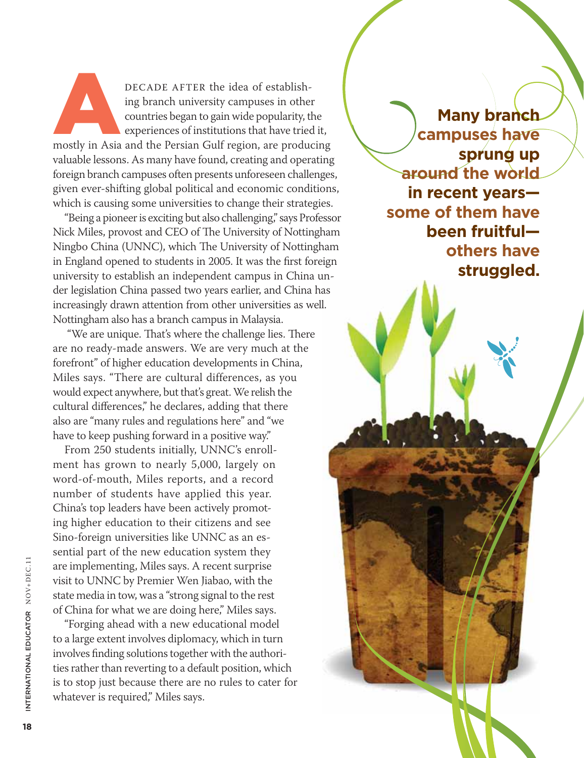DECADE AFTER the idea of establish-<br>ing branch university campuses in other<br>countries began to gain wide popularity, the<br>experiences of institutions that have tried it,<br>mostly in Asia and the Persian Gulf region, are produ ing branch university campuses in other countries began to gain wide popularity, the experiences of institutions that have tried it, valuable lessons. As many have found, creating and operating foreign branch campuses often presents unforeseen challenges, given ever-shifting global political and economic conditions, which is causing some universities to change their strategies.

"Being a pioneer is exciting but also challenging," says Professor Nick Miles, provost and CEO of The University of Nottingham Ningbo China (UNNC), which The University of Nottingham in England opened to students in 2005. It was the first foreign university to establish an independent campus in China under legislation China passed two years earlier, and China has increasingly drawn attention from other universities as well. Nottingham also has a branch campus in Malaysia.

 "We are unique. That's where the challenge lies. There are no ready-made answers. We are very much at the forefront" of higher education developments in China, Miles says. "There are cultural differences, as you would expect anywhere, but that's great. We relish the cultural differences," he declares, adding that there also are "many rules and regulations here" and "we have to keep pushing forward in a positive way."

From 250 students initially, UNNC's enrollment has grown to nearly 5,000, largely on word-of-mouth, Miles reports, and a record number of students have applied this year. China's top leaders have been actively promoting higher education to their citizens and see Sino-foreign universities like UNNC as an essential part of the new education system they are implementing, Miles says. A recent surprise visit to UNNC by Premier Wen Jiabao, with the state media in tow, was a "strong signal to the rest of China for what we are doing here," Miles says.

"Forging ahead with a new educational model to a large extent involves diplomacy, which in turn involves finding solutions together with the authorities rather than reverting to a default position, which is to stop just because there are no rules to cater for whatever is required," Miles says.

**Many branch campuses have sprung up around the world in recent years some of them have been fruitful others have struggled.**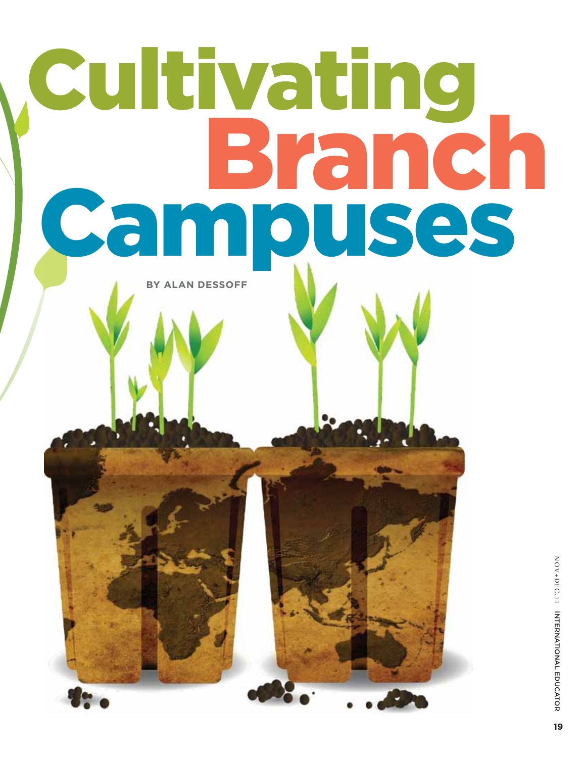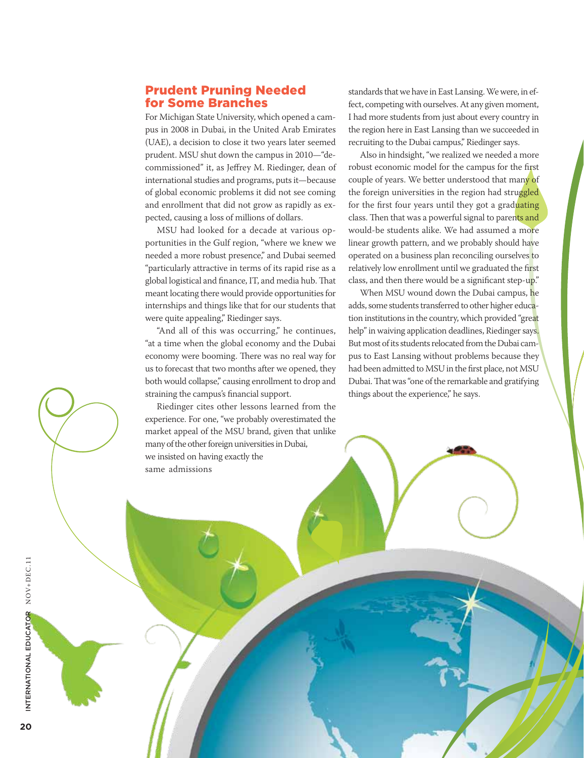#### Prudent Pruning Needed for Some Branches

For Michigan State University, which opened a campus in 2008 in Dubai, in the United Arab Emirates (UAE), a decision to close it two years later seemed prudent. MSU shut down the campus in 2010—"decommissioned" it, as Jeffrey M. Riedinger, dean of international studies and programs, puts it—because of global economic problems it did not see coming and enrollment that did not grow as rapidly as expected, causing a loss of millions of dollars.

MSU had looked for a decade at various opportunities in the Gulf region, "where we knew we needed a more robust presence," and Dubai seemed "particularly attractive in terms of its rapid rise as a global logistical and finance, IT, and media hub. That meant locating there would provide opportunities for internships and things like that for our students that were quite appealing," Riedinger says.

"And all of this was occurring," he continues, "at a time when the global economy and the Dubai economy were booming. There was no real way for us to forecast that two months after we opened, they both would collapse," causing enrollment to drop and straining the campus's financial support.

Riedinger cites other lessons learned from the experience. For one, "we probably overestimated the market appeal of the MSU brand, given that unlike many of the other foreign universities in Dubai, we insisted on having exactly the same admissions

standards that we have in East Lansing. We were, in effect, competing with ourselves. At any given moment, I had more students from just about every country in the region here in East Lansing than we succeeded in recruiting to the Dubai campus," Riedinger says.

Also in hindsight, "we realized we needed a more robust economic model for the campus for the first couple of years. We better understood that many of the foreign universities in the region had struggled for the first four years until they got a graduating class. Then that was a powerful signal to parents and would-be students alike. We had assumed a more linear growth pattern, and we probably should have operated on a business plan reconciling ourselves to relatively low enrollment until we graduated the first class, and then there would be a significant step-up."

When MSU wound down the Dubai campus, he adds, some students transferred to other higher education institutions in the country, which provided "great help" in waiving application deadlines, Riedinger says. But most of its students relocated from the Dubai campus to East Lansing without problems because they had been admitted to MSU in the first place, not MSU Dubai. That was "one of the remarkable and gratifying things about the experience," he says.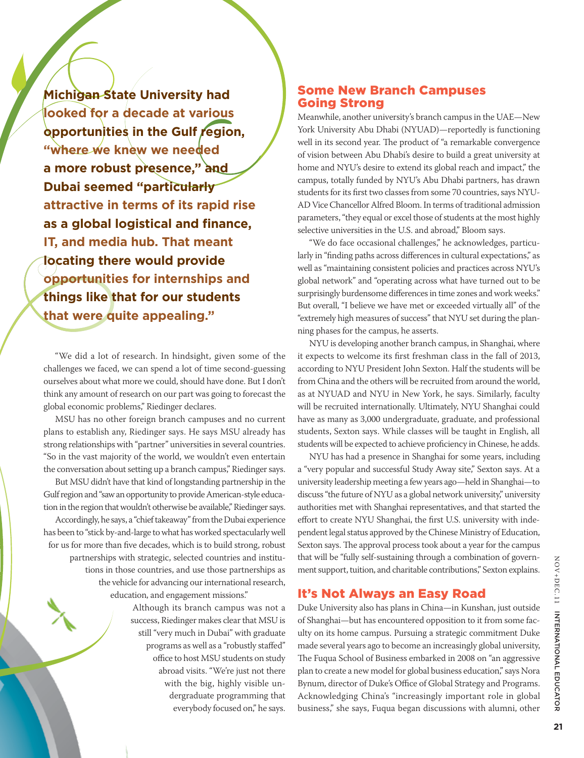**Michigan State University had looked for a decade at various opportunities in the Gulf region, "where we knew we needed a more robust presence," and Dubai seemed "particularly attractive in terms of its rapid rise as a global logistical and finance, IT, and media hub. That meant locating there would provide opportunities for internships and things like that for our students that were quite appealing."**

"We did a lot of research. In hindsight, given some of the challenges we faced, we can spend a lot of time second-guessing ourselves about what more we could, should have done. But I don't think any amount of research on our part was going to forecast the global economic problems," Riedinger declares.

MSU has no other foreign branch campuses and no current plans to establish any, Riedinger says. He says MSU already has strong relationships with "partner" universities in several countries. "So in the vast majority of the world, we wouldn't even entertain the conversation about setting up a branch campus," Riedinger says.

But MSU didn't have that kind of longstanding partnership in the Gulf region and "saw an opportunity to provide American-style education in the region that wouldn't otherwise be available," Riedinger says. Accordingly, he says, a "chief takeaway" from the Dubai experience has been to "stick by-and-large to what has worked spectacularly well for us for more than five decades, which is to build strong, robust partnerships with strategic, selected countries and institutions in those countries, and use those partnerships as the vehicle for advancing our international research, education, and engagement missions."

> Although its branch campus was not a success, Riedinger makes clear that MSU is still "very much in Dubai" with graduate programs as well as a "robustly staffed" office to host MSU students on study abroad visits. "We're just not there with the big, highly visible undergraduate programming that everybody focused on," he says.

## Some New Branch Campuses Going Strong

Meanwhile, another university's branch campus in the UAE—New York University Abu Dhabi (NYUAD)—reportedly is functioning well in its second year. The product of "a remarkable convergence of vision between Abu Dhabi's desire to build a great university at home and NYU's desire to extend its global reach and impact," the campus, totally funded by NYU's Abu Dhabi partners, has drawn students for its first two classes from some 70 countries, says NYU-AD Vice Chancellor Alfred Bloom. In terms of traditional admission parameters, "they equal or excel those of students at the most highly selective universities in the U.S. and abroad," Bloom says.

"We do face occasional challenges," he acknowledges, particularly in "finding paths across differences in cultural expectations," as well as "maintaining consistent policies and practices across NYU's global network" and "operating across what have turned out to be surprisingly burdensome differences in time zones and work weeks." But overall, "I believe we have met or exceeded virtually all" of the "extremely high measures of success" that NYU set during the planning phases for the campus, he asserts.

NYU is developing another branch campus, in Shanghai, where it expects to welcome its first freshman class in the fall of 2013, according to NYU President John Sexton. Half the students will be from China and the others will be recruited from around the world, as at NYUAD and NYU in New York, he says. Similarly, faculty will be recruited internationally. Ultimately, NYU Shanghai could have as many as 3,000 undergraduate, graduate, and professional students, Sexton says. While classes will be taught in English, all students will be expected to achieve proficiency in Chinese, he adds.

NYU has had a presence in Shanghai for some years, including a "very popular and successful Study Away site," Sexton says. At a university leadership meeting a few years ago—held in Shanghai—to discuss "the future of NYU as a global network university," university authorities met with Shanghai representatives, and that started the effort to create NYU Shanghai, the first U.S. university with independent legal status approved by the Chinese Ministry of Education, Sexton says. The approval process took about a year for the campus that will be "fully self-sustaining through a combination of government support, tuition, and charitable contributions," Sexton explains.

# It's Not Always an Easy Road

Duke University also has plans in China—in Kunshan, just outside of Shanghai—but has encountered opposition to it from some faculty on its home campus. Pursuing a strategic commitment Duke made several years ago to become an increasingly global university, The Fuqua School of Business embarked in 2008 on "an aggressive plan to create a new model for global business education," says Nora Bynum, director of Duke's Office of Global Strategy and Programs. Acknowledging China's "increasingly important role in global business," she says, Fuqua began discussions with alumni, other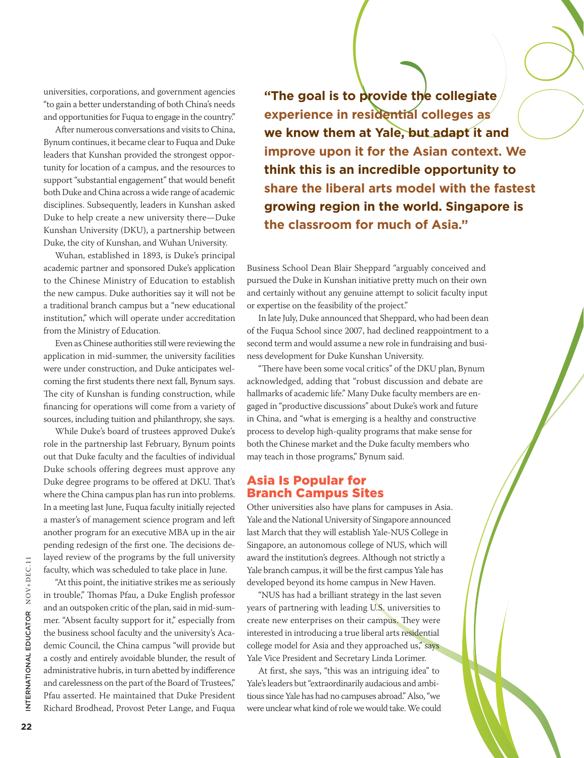universities, corporations, and government agencies "to gain a better understanding of both China's needs and opportunities for Fuqua to engage in the country."

After numerous conversations and visits to China, Bynum continues, it became clear to Fuqua and Duke leaders that Kunshan provided the strongest opportunity for location of a campus, and the resources to support "substantial engagement" that would benefit both Duke and China across a wide range of academic disciplines. Subsequently, leaders in Kunshan asked Duke to help create a new university there—Duke Kunshan University (DKU), a partnership between Duke, the city of Kunshan, and Wuhan University.

Wuhan, established in 1893, is Duke's principal academic partner and sponsored Duke's application to the Chinese Ministry of Education to establish the new campus. Duke authorities say it will not be a traditional branch campus but a "new educational institution," which will operate under accreditation from the Ministry of Education.

Even as Chinese authorities still were reviewing the application in mid-summer, the university facilities were under construction, and Duke anticipates welcoming the first students there next fall, Bynum says. The city of Kunshan is funding construction, while financing for operations will come from a variety of sources, including tuition and philanthropy, she says.

While Duke's board of trustees approved Duke's role in the partnership last February, Bynum points out that Duke faculty and the faculties of individual Duke schools offering degrees must approve any Duke degree programs to be offered at DKU. That's where the China campus plan has run into problems. In a meeting last June, Fuqua faculty initially rejected a master's of management science program and left another program for an executive MBA up in the air pending redesign of the first one. The decisions delayed review of the programs by the full university faculty, which was scheduled to take place in June.

"At this point, the initiative strikes me as seriously in trouble," Thomas Pfau, a Duke English professor and an outspoken critic of the plan, said in mid-summer. "Absent faculty support for it," especially from the business school faculty and the university's Academic Council, the China campus "will provide but a costly and entirely avoidable blunder, the result of administrative hubris, in turn abetted by indifference and carelessness on the part of the Board of Trustees," Pfau asserted. He maintained that Duke President Richard Brodhead, Provost Peter Lange, and Fuqua

**"The goal is to provide the collegiate experience in residential colleges as we know them at Yale, but adapt it and improve upon it for the Asian context. We think this is an incredible opportunity to share the liberal arts model with the fastest growing region in the world. Singapore is the classroom for much of Asia."**

Business School Dean Blair Sheppard "arguably conceived and pursued the Duke in Kunshan initiative pretty much on their own and certainly without any genuine attempt to solicit faculty input or expertise on the feasibility of the project."

In late July, Duke announced that Sheppard, who had been dean of the Fuqua School since 2007, had declined reappointment to a second term and would assume a new role in fundraising and business development for Duke Kunshan University.

"There have been some vocal critics" of the DKU plan, Bynum acknowledged, adding that "robust discussion and debate are hallmarks of academic life." Many Duke faculty members are engaged in "productive discussions" about Duke's work and future in China, and "what is emerging is a healthy and constructive process to develop high-quality programs that make sense for both the Chinese market and the Duke faculty members who may teach in those programs," Bynum said.

#### Asia Is Popular for Branch Campus Sites

Other universities also have plans for campuses in Asia. Yale and the National University of Singapore announced last March that they will establish Yale-NUS College in Singapore, an autonomous college of NUS, which will award the institution's degrees. Although not strictly a Yale branch campus, it will be the first campus Yale has developed beyond its home campus in New Haven.

"NUS has had a brilliant strategy in the last seven years of partnering with leading U.S. universities to create new enterprises on their campus. They were interested in introducing a true liberal arts residential college model for Asia and they approached us," says Yale Vice President and Secretary Linda Lorimer.

At first, she says, "this was an intriguing idea" to Yale's leaders but "extraordinarily audacious and ambitious since Yale has had no campuses abroad." Also, "we were unclear what kind of role we would take. We could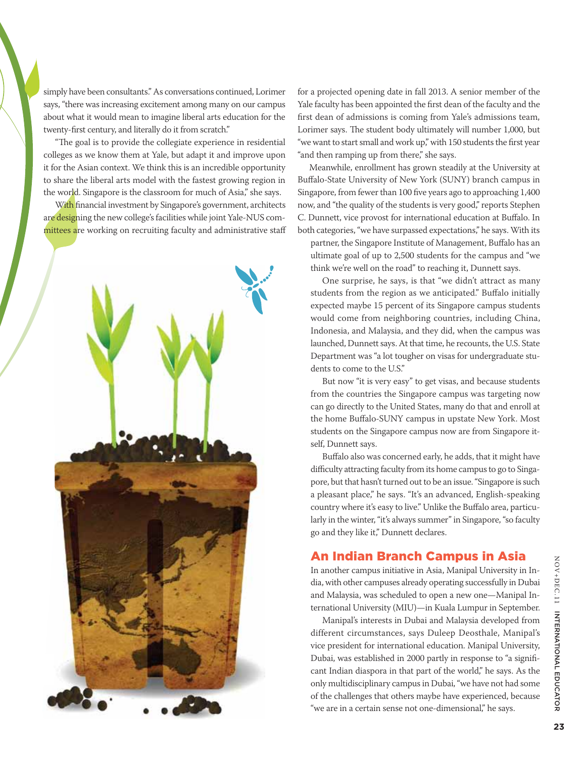simply have been consultants." As conversations continued, Lorimer says, "there was increasing excitement among many on our campus about what it would mean to imagine liberal arts education for the twenty-first century, and literally do it from scratch."

"The goal is to provide the collegiate experience in residential colleges as we know them at Yale, but adapt it and improve upon it for the Asian context. We think this is an incredible opportunity to share the liberal arts model with the fastest growing region in the world. Singapore is the classroom for much of Asia," she says.

With financial investment by Singapore's government, architects are designing the new college's facilities while joint Yale-NUS committees are working on recruiting faculty and administrative staff



for a projected opening date in fall 2013. A senior member of the Yale faculty has been appointed the first dean of the faculty and the first dean of admissions is coming from Yale's admissions team, Lorimer says. The student body ultimately will number 1,000, but "we want to start small and work up," with 150 students the first year "and then ramping up from there," she says.

Meanwhile, enrollment has grown steadily at the University at Buffalo-State University of New York (SUNY) branch campus in Singapore, from fewer than 100 five years ago to approaching 1,400 now, and "the quality of the students is very good," reports Stephen C. Dunnett, vice provost for international education at Buffalo. In both categories, "we have surpassed expectations," he says. With its

partner, the Singapore Institute of Management, Buffalo has an ultimate goal of up to 2,500 students for the campus and "we think we're well on the road" to reaching it, Dunnett says.

One surprise, he says, is that "we didn't attract as many students from the region as we anticipated." Buffalo initially expected maybe 15 percent of its Singapore campus students would come from neighboring countries, including China, Indonesia, and Malaysia, and they did, when the campus was launched, Dunnett says. At that time, he recounts, the U.S. State Department was "a lot tougher on visas for undergraduate students to come to the U.S."

But now "it is very easy" to get visas, and because students from the countries the Singapore campus was targeting now can go directly to the United States, many do that and enroll at the home Buffalo-SUNY campus in upstate New York. Most students on the Singapore campus now are from Singapore itself, Dunnett says.

Buffalo also was concerned early, he adds, that it might have difficulty attracting faculty from its home campus to go to Singapore, but that hasn't turned out to be an issue. "Singapore is such a pleasant place," he says. "It's an advanced, English-speaking country where it's easy to live." Unlike the Buffalo area, particularly in the winter, "it's always summer" in Singapore, "so faculty go and they like it," Dunnett declares.

## An Indian Branch Campus in Asia

In another campus initiative in Asia, Manipal University in India, with other campuses already operating successfully in Dubai and Malaysia, was scheduled to open a new one—Manipal International University (MIU)—in Kuala Lumpur in September.

Manipal's interests in Dubai and Malaysia developed from different circumstances, says Duleep Deosthale, Manipal's vice president for international education. Manipal University, Dubai, was established in 2000 partly in response to "a significant Indian diaspora in that part of the world," he says. As the only multidisciplinary campus in Dubai, "we have not had some of the challenges that others maybe have experienced, because "we are in a certain sense not one-dimensional," he says.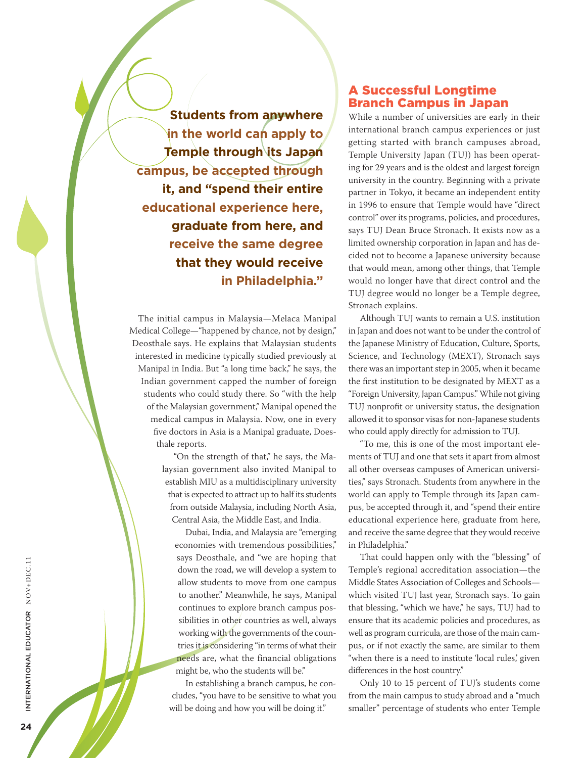**Students from anywhere in the world can apply to Temple through its Japan campus, be accepted through it, and "spend their entire educational experience here, graduate from here, and receive the same degree that they would receive in Philadelphia."**

The initial campus in Malaysia—Melaca Manipal Medical College—"happened by chance, not by design," Deosthale says. He explains that Malaysian students interested in medicine typically studied previously at Manipal in India. But "a long time back," he says, the Indian government capped the number of foreign students who could study there. So "with the help of the Malaysian government," Manipal opened the medical campus in Malaysia. Now, one in every five doctors in Asia is a Manipal graduate, Doesthale reports.

> "On the strength of that," he says, the Malaysian government also invited Manipal to establish MIU as a multidisciplinary university that is expected to attract up to half its students from outside Malaysia, including North Asia, Central Asia, the Middle East, and India.

Dubai, India, and Malaysia are "emerging economies with tremendous possibilities," says Deosthale, and "we are hoping that down the road, we will develop a system to allow students to move from one campus to another." Meanwhile, he says, Manipal continues to explore branch campus possibilities in other countries as well, always working with the governments of the countries it is considering "in terms of what their needs are, what the financial obligations might be, who the students will be."

In establishing a branch campus, he concludes, "you have to be sensitive to what you will be doing and how you will be doing it."

#### A Successful Longtime Branch Campus in Japan

While a number of universities are early in their international branch campus experiences or just getting started with branch campuses abroad, Temple University Japan (TUJ) has been operating for 29 years and is the oldest and largest foreign university in the country. Beginning with a private partner in Tokyo, it became an independent entity in 1996 to ensure that Temple would have "direct control" over its programs, policies, and procedures, says TUJ Dean Bruce Stronach. It exists now as a limited ownership corporation in Japan and has decided not to become a Japanese university because that would mean, among other things, that Temple would no longer have that direct control and the TUJ degree would no longer be a Temple degree, Stronach explains.

Although TUJ wants to remain a U.S. institution in Japan and does not want to be under the control of the Japanese Ministry of Education, Culture, Sports, Science, and Technology (MEXT), Stronach says there was an important step in 2005, when it became the first institution to be designated by MEXT as a "Foreign University, Japan Campus." While not giving TUJ nonprofit or university status, the designation allowed it to sponsor visas for non-Japanese students who could apply directly for admission to TUJ.

"To me, this is one of the most important elements of TUJ and one that sets it apart from almost all other overseas campuses of American universities," says Stronach. Students from anywhere in the world can apply to Temple through its Japan campus, be accepted through it, and "spend their entire educational experience here, graduate from here, and receive the same degree that they would receive in Philadelphia."

That could happen only with the "blessing" of Temple's regional accreditation association—the Middle States Association of Colleges and Schools which visited TUJ last year, Stronach says. To gain that blessing, "which we have," he says, TUJ had to ensure that its academic policies and procedures, as well as program curricula, are those of the main campus, or if not exactly the same, are similar to them "when there is a need to institute 'local rules' given differences in the host country."

Only 10 to 15 percent of TUJ's students come from the main campus to study abroad and a "much smaller" percentage of students who enter Temple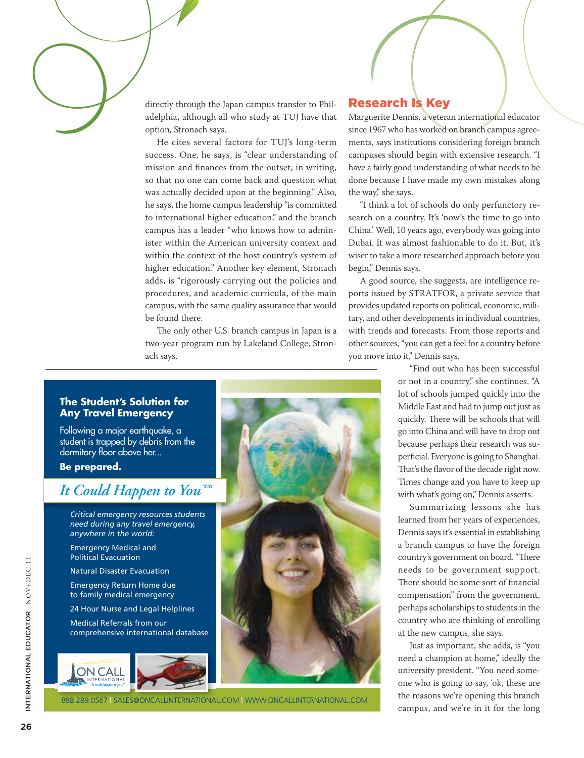directly through the Japan campus transfer to Philadelphia, although all who study at TUJ have that option, Stronach says.

He cites several factors for TUJ's long-term success. One, he says, is "clear understanding of mission and finances from the outset, in writing, so that no one can come back and question what was actually decided upon at the beginning." Also, he says, the home campus leadership "is committed to international higher education," and the branch campus has a leader "who knows how to administer within the American university context and within the context of the host country's system of higher education." Another key element, Stronach adds, is "rigorously carrying out the policies and procedures, and academic curricula, of the main campus, with the same quality assurance that would be found there.

The only other U.S. branch campus in Japan is a two-year program run by Lakeland College, Stronach says.

## Research Is Key

Marguerite Dennis, a veteran international educator since 1967 who has worked on branch campus agreements, says institutions considering foreign branch campuses should begin with extensive research. "I have a fairly good understanding of what needs to be done because I have made my own mistakes along the way," she says.

"I think a lot of schools do only perfunctory research on a country. It's 'now's the time to go into China.' Well, 10 years ago, everybody was going into Dubai. It was almost fashionable to do it. But, it's wiser to take a more researched approach before you begin," Dennis says.

A good source, she suggests, are intelligence reports issued by STRATFOR, a private service that provides updated reports on political, economic, military, and other developments in individual countries, with trends and forecasts. From those reports and other sources, "you can get a feel for a country before you move into it," Dennis says.

> "Find out who has been successful or not in a country," she continues. "A lot of schools jumped quickly into the Middle East and had to jump out just as quickly. There will be schools that will go into China and will have to drop out because perhaps their research was superficial. Everyone is going to Shanghai. That's the flavor of the decade right now. Times change and you have to keep up with what's going on," Dennis asserts.

> Summarizing lessons she has learned from her years of experiences, Dennis says it's essential in establishing a branch campus to have the foreign country's government on board. "There needs to be government support. There should be some sort of financial compensation" from the government, perhaps scholarships to students in the country who are thinking of enrolling at the new campus, she says.

> Just as important, she adds, is "you need a champion at home," ideally the university president. "You need someone who is going to say, 'ok, these are the reasons we're opening this branch campus, and we're in it for the long

#### **The Student's Solution for Any Travel Emergency**

Following a major earthquake, a student is trapped by debris from the dormitory floor above her...

**Be prepared.**

# *It Could Happen to You™*

*Critical emergency resources students need during any travel emergency, anywhere in the world:*

Emergency Medical and Political Evacuation

Natural Disaster Evacuation

Emergency Return Home due to family medical emergency

24 Hour Nurse and Legal Helplines

Medical Referrals from our comprehensive international database





888.289.0567 | SALES@ONCALLINTERNATIONAL.COM | WWW.ONCALLINTERNATIONAL.COM

PMS 7461 C